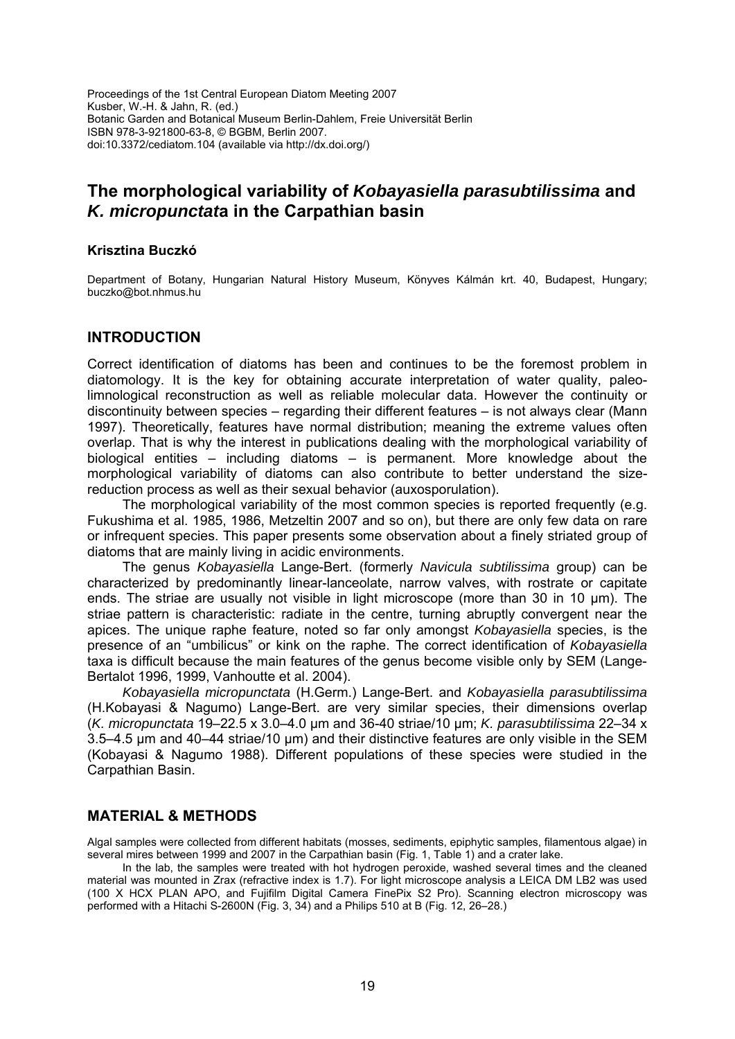Proceedings of the 1st Central European Diatom Meeting 2007 Kusber, W.-H. & Jahn, R. (ed.) Botanic Garden and Botanical Museum Berlin-Dahlem, Freie Universität Berlin ISBN 978-3-921800-63-8, © BGBM, Berlin 2007. doi:10.3372/cediatom.104 (available via http://dx.doi.org/)

# **The morphological variability of** *Kobayasiella parasubtilissima* **and**  *K. micropunctat***a in the Carpathian basin**

## **Krisztina Buczkó**

Department of Botany, Hungarian Natural History Museum, Könyves Kálmán krt. 40, Budapest, Hungary; buczko@bot.nhmus.hu

## **INTRODUCTION**

Correct identification of diatoms has been and continues to be the foremost problem in diatomology. It is the key for obtaining accurate interpretation of water quality, paleolimnological reconstruction as well as reliable molecular data. However the continuity or discontinuity between species – regarding their different features – is not always clear (Mann 1997). Theoretically, features have normal distribution; meaning the extreme values often overlap. That is why the interest in publications dealing with the morphological variability of biological entities – including diatoms – is permanent. More knowledge about the morphological variability of diatoms can also contribute to better understand the sizereduction process as well as their sexual behavior (auxosporulation).

The morphological variability of the most common species is reported frequently (e.g. Fukushima et al. 1985, 1986, Metzeltin 2007 and so on), but there are only few data on rare or infrequent species. This paper presents some observation about a finely striated group of diatoms that are mainly living in acidic environments.

The genus *Kobayasiella* Lange-Bert. (formerly *Navicula subtilissima* group) can be characterized by predominantly linear-lanceolate, narrow valves, with rostrate or capitate ends. The striae are usually not visible in light microscope (more than 30 in 10 μm). The striae pattern is characteristic: radiate in the centre, turning abruptly convergent near the apices. The unique raphe feature, noted so far only amongst *Kobayasiella* species, is the presence of an "umbilicus" or kink on the raphe. The correct identification of *Kobayasiella* taxa is difficult because the main features of the genus become visible only by SEM (Lange-Bertalot 1996, 1999, Vanhoutte et al. 2004).

*Kobayasiella micropunctata* (H.Germ.) Lange-Bert. and *Kobayasiella parasubtilissima* (H.Kobayasi & Nagumo) Lange-Bert. are very similar species, their dimensions overlap (*K. micropunctata* 19–22.5 x 3.0–4.0 µm and 36-40 striae/10 µm; *K. parasubtilissima* 22–34 x 3.5–4.5 µm and 40–44 striae/10 µm) and their distinctive features are only visible in the SEM (Kobayasi & Nagumo 1988). Different populations of these species were studied in the Carpathian Basin.

## **MATERIAL & METHODS**

Algal samples were collected from different habitats (mosses, sediments, epiphytic samples, filamentous algae) in several mires between 1999 and 2007 in the Carpathian basin (Fig. 1, Table 1) and a crater lake.

In the lab, the samples were treated with hot hydrogen peroxide, washed several times and the cleaned material was mounted in Zrax (refractive index is 1.7). For light microscope analysis a LEICA DM LB2 was used (100 X HCX PLAN APO, and Fujifilm Digital Camera FinePix S2 Pro). Scanning electron microscopy was performed with a Hitachi S-2600N (Fig. 3, 34) and a Philips 510 at B (Fig. 12, 26–28.)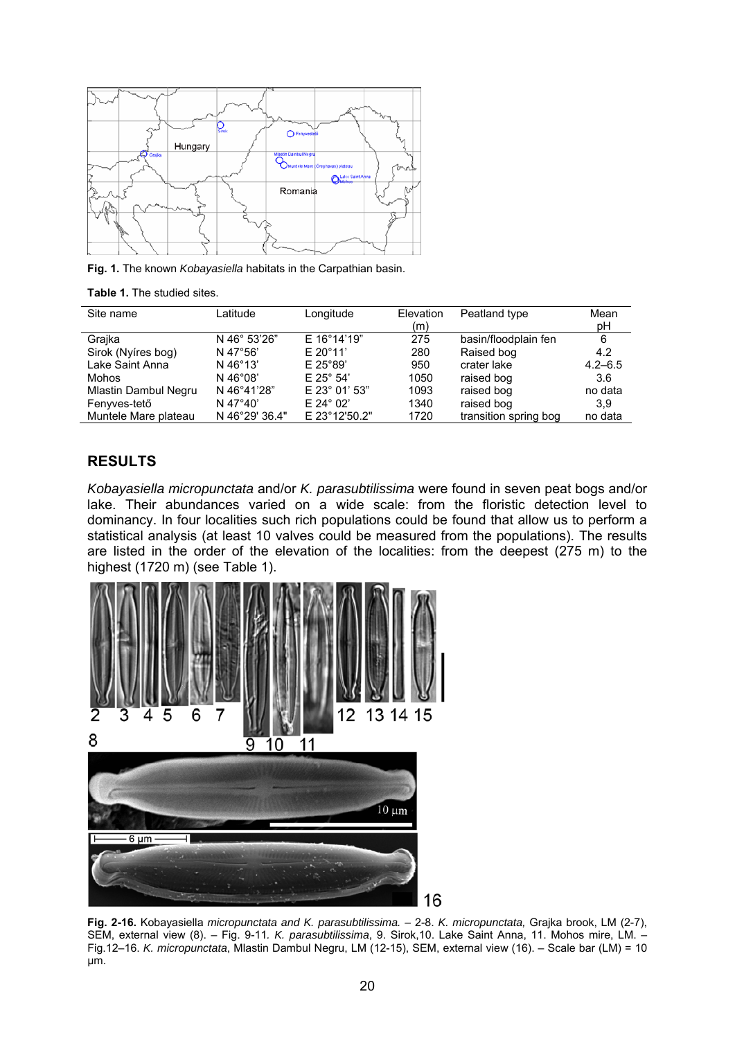

**Fig. 1.** The known *Kobayasiella* habitats in the Carpathian basin.

|  | <b>Table 1.</b> The studied sites. |  |
|--|------------------------------------|--|
|  |                                    |  |

| Site name            | Latitude          | Longitude          | Elevation | Peatland type         | Mean        |
|----------------------|-------------------|--------------------|-----------|-----------------------|-------------|
|                      |                   |                    | (m)       |                       | рH          |
| Grajka               | N 46° 53'26"      | E 16°14'19"        | 275       | basin/floodplain fen  | 6           |
| Sirok (Nyíres bog)   | N 47°56'          | $E 20^{\circ}11'$  | 280       | Raised bog            | 4.2         |
| Lake Saint Anna      | N 46°13'          | $E$ 25°89'         | 950       | crater lake           | $4.2 - 6.5$ |
| Mohos                | N $46^{\circ}08'$ | $E$ 25° 54'        | 1050      | raised bog            | 3.6         |
| Mlastin Dambul Negru | N 46°41'28"       | E 23° 01' 53"      | 1093      | raised bog            | no data     |
| Fenyves-tető         | N 47°40'          | $E 24^{\circ} 02'$ | 1340      | raised bog            | 3.9         |
| Muntele Mare plateau | N 46°29' 36.4"    | E 23°12'50.2"      | 1720      | transition spring bog | no data     |

## **RESULTS**

*Kobayasiella micropunctata* and/or *K. parasubtilissima* were found in seven peat bogs and/or lake. Their abundances varied on a wide scale: from the floristic detection level to dominancy. In four localities such rich populations could be found that allow us to perform a statistical analysis (at least 10 valves could be measured from the populations). The results are listed in the order of the elevation of the localities: from the deepest (275 m) to the highest (1720 m) (see Table 1).



**Fig. 2-16.** Kobayasiella *micropunctata and K. parasubtilissima. –* 2-8. *K. micropunctata,* Grajka brook, LM (2-7), SEM, external view (8). – Fig. 9-11*. K. parasubtilissima*, 9. Sirok,10. Lake Saint Anna, 11. Mohos mire, LM. – Fig.12–16. *K. micropunctata*, Mlastin Dambul Negru, LM (12-15), SEM, external view (16). – Scale bar (LM) = 10 µm.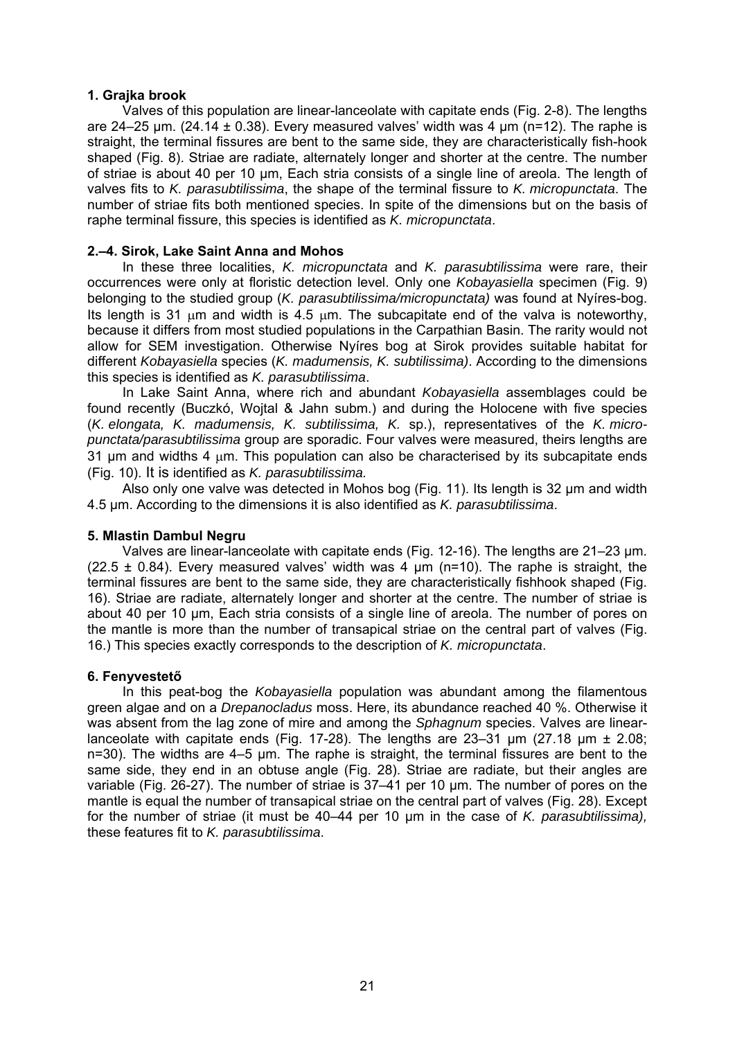#### **1. Grajka brook**

Valves of this population are linear-lanceolate with capitate ends (Fig. 2-8). The lengths are 24–25 µm. (24.14  $\pm$  0.38). Every measured valves' width was 4 µm (n=12). The raphe is straight, the terminal fissures are bent to the same side, they are characteristically fish-hook shaped (Fig. 8). Striae are radiate, alternately longer and shorter at the centre. The number of striae is about 40 per 10 µm, Each stria consists of a single line of areola. The length of valves fits to *K. parasubtilissima*, the shape of the terminal fissure to *K. micropunctata*. The number of striae fits both mentioned species. In spite of the dimensions but on the basis of raphe terminal fissure, this species is identified as *K. micropunctata*.

## **2.–4. Sirok, Lake Saint Anna and Mohos**

In these three localities, *K. micropunctata* and *K. parasubtilissima* were rare, their occurrences were only at floristic detection level. Only one *Kobayasiella* specimen (Fig. 9) belonging to the studied group (*K. parasubtilissima/micropunctata)* was found at Nyíres-bog. Its length is 31 μm and width is 4.5 μm. The subcapitate end of the valva is noteworthy, because it differs from most studied populations in the Carpathian Basin. The rarity would not allow for SEM investigation. Otherwise Nyíres bog at Sirok provides suitable habitat for different *Kobayasiella* species (*K. madumensis, K. subtilissima)*. According to the dimensions this species is identified as *K. parasubtilissima*.

In Lake Saint Anna, where rich and abundant *Kobayasiella* assemblages could be found recently (Buczkó, Wojtal & Jahn subm.) and during the Holocene with five species (*K. elongata, K. madumensis, K. subtilissima, K.* sp.), representatives of the *K. micropunctata/parasubtilissima* group are sporadic. Four valves were measured, theirs lengths are 31 µm and widths 4 μm. This population can also be characterised by its subcapitate ends (Fig. 10). It is identified as *K. parasubtilissima.*

Also only one valve was detected in Mohos bog (Fig. 11). Its length is 32 µm and width 4.5 µm. According to the dimensions it is also identified as *K. parasubtilissima*.

#### **5. Mlastin Dambul Negru**

Valves are linear-lanceolate with capitate ends (Fig. 12-16). The lengths are 21–23 µm. (22.5  $\pm$  0.84). Every measured valves' width was 4  $\mu$ m (n=10). The raphe is straight, the terminal fissures are bent to the same side, they are characteristically fishhook shaped (Fig. 16). Striae are radiate, alternately longer and shorter at the centre. The number of striae is about 40 per 10 µm, Each stria consists of a single line of areola. The number of pores on the mantle is more than the number of transapical striae on the central part of valves (Fig. 16.) This species exactly corresponds to the description of *K. micropunctata*.

#### **6. Fenyvestető**

In this peat-bog the *Kobayasiella* population was abundant among the filamentous green algae and on a *Drepanocladus* moss. Here, its abundance reached 40 %. Otherwise it was absent from the lag zone of mire and among the *Sphagnum* species. Valves are linearlanceolate with capitate ends (Fig. 17-28). The lengths are 23-31  $\mu$ m (27.18  $\mu$ m  $\pm$  2.08; n=30). The widths are 4–5 µm. The raphe is straight, the terminal fissures are bent to the same side, they end in an obtuse angle (Fig. 28). Striae are radiate, but their angles are variable (Fig. 26-27). The number of striae is 37–41 per 10 µm. The number of pores on the mantle is equal the number of transapical striae on the central part of valves (Fig. 28). Except for the number of striae (it must be 40–44 per 10 µm in the case of *K. parasubtilissima),* these features fit to *K. parasubtilissima*.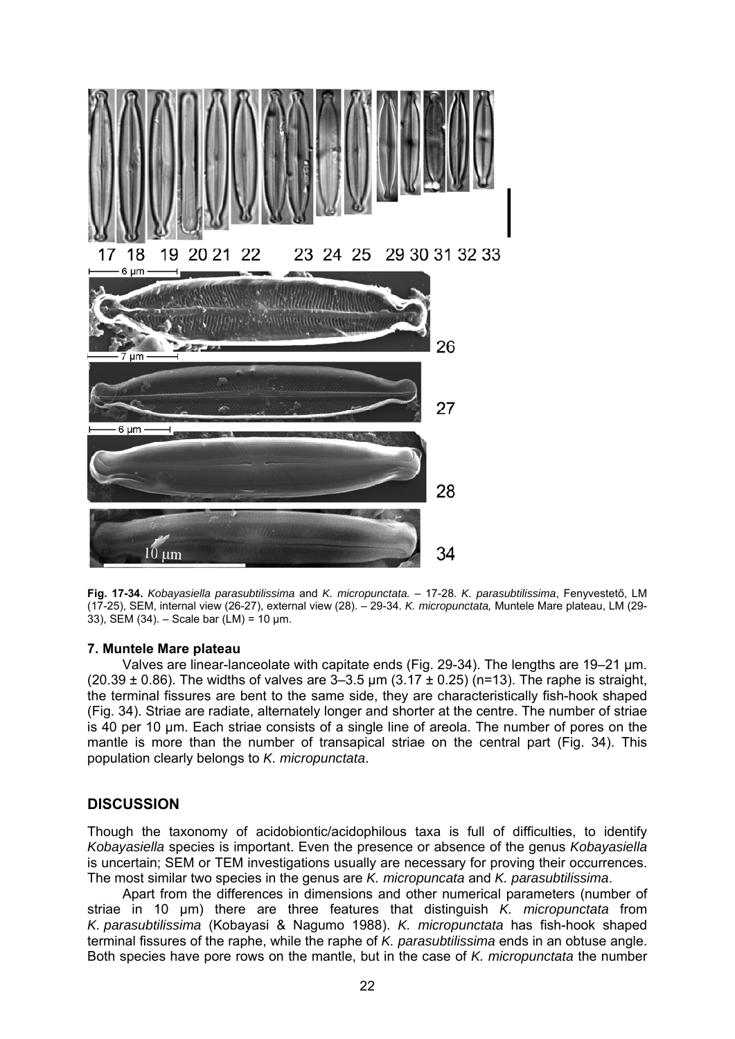

**Fig. 17-34.** *Kobayasiella parasubtilissima* and *K. micropunctata.* – 17-28. *K. parasubtilissima*, Fenyvestető, LM (17-25), SEM, internal view (26-27), external view (28). – 29-34. *K. micropunctata,* Muntele Mare plateau, LM (29- 33), SEM (34). – Scale bar (LM) = 10 µm.

#### **7. Muntele Mare plateau**

Valves are linear-lanceolate with capitate ends (Fig. 29-34). The lengths are 19–21 µm. (20.39  $\pm$  0.86). The widths of valves are 3-3.5 µm (3.17  $\pm$  0.25) (n=13). The raphe is straight, the terminal fissures are bent to the same side, they are characteristically fish-hook shaped (Fig. 34). Striae are radiate, alternately longer and shorter at the centre. The number of striae is 40 per 10 µm. Each striae consists of a single line of areola. The number of pores on the mantle is more than the number of transapical striae on the central part (Fig. 34). This population clearly belongs to *K. micropunctata*.

## **DISCUSSION**

Though the taxonomy of acidobiontic/acidophilous taxa is full of difficulties, to identify *Kobayasiella* species is important. Even the presence or absence of the genus *Kobayasiella* is uncertain; SEM or TEM investigations usually are necessary for proving their occurrences. The most similar two species in the genus are *K. micropuncata* and *K. parasubtilissima*.

Apart from the differences in dimensions and other numerical parameters (number of striae in 10 µm) there are three features that distinguish *K. micropunctata* from *K. parasubtilissima* (Kobayasi & Nagumo 1988). *K. micropunctata* has fish-hook shaped terminal fissures of the raphe, while the raphe of *K. parasubtilissima* ends in an obtuse angle. Both species have pore rows on the mantle, but in the case of *K. micropunctata* the number